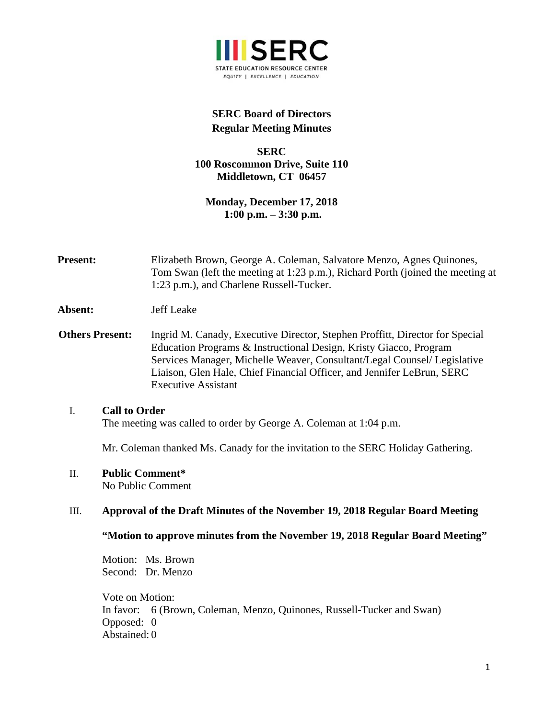

# **SERC Board of Directors Regular Meeting Minutes**

## **SERC 100 Roscommon Drive, Suite 110 Middletown, CT 06457**

**Monday, December 17, 2018 1:00 p.m. – 3:30 p.m.** 

- **Present:** Elizabeth Brown, George A. Coleman, Salvatore Menzo, Agnes Quinones, Tom Swan (left the meeting at 1:23 p.m.), Richard Porth (joined the meeting at 1:23 p.m.), and Charlene Russell-Tucker.
- **Absent:** Jeff Leake
- **Others Present:** Ingrid M. Canady, Executive Director, Stephen Proffitt, Director for Special Education Programs & Instructional Design, Kristy Giacco, Program Services Manager, Michelle Weaver, Consultant/Legal Counsel/ Legislative Liaison, Glen Hale, Chief Financial Officer, and Jennifer LeBrun, SERC Executive Assistant

### I. **Call to Order**

The meeting was called to order by George A. Coleman at 1:04 p.m.

Mr. Coleman thanked Ms. Canady for the invitation to the SERC Holiday Gathering.

### II. **Public Comment\***

No Public Comment

### III. **Approval of the Draft Minutes of the November 19, 2018 Regular Board Meeting**

### **"Motion to approve minutes from the November 19, 2018 Regular Board Meeting"**

Motion: Ms. Brown Second: Dr. Menzo

Vote on Motion: In favor: 6 (Brown, Coleman, Menzo, Quinones, Russell-Tucker and Swan) Opposed: 0 Abstained: 0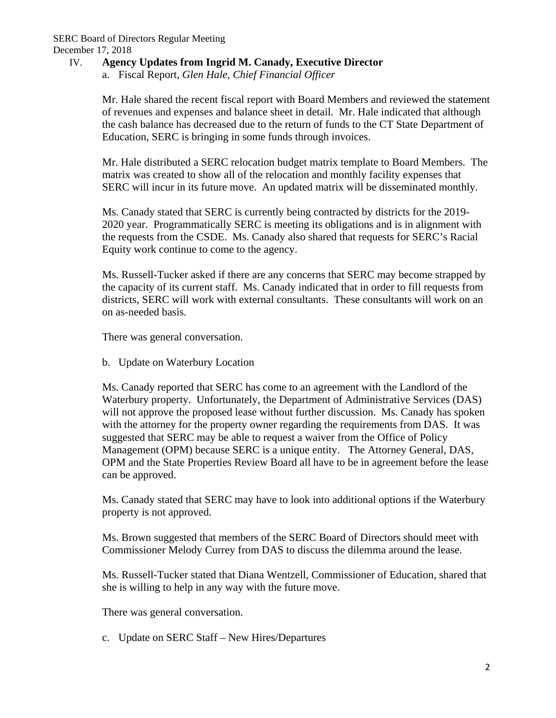## IV. **Agency Updates from Ingrid M. Canady, Executive Director**

a. Fiscal Report, *Glen Hale, Chief Financial Officer* 

Mr. Hale shared the recent fiscal report with Board Members and reviewed the statement of revenues and expenses and balance sheet in detail. Mr. Hale indicated that although the cash balance has decreased due to the return of funds to the CT State Department of Education, SERC is bringing in some funds through invoices.

Mr. Hale distributed a SERC relocation budget matrix template to Board Members. The matrix was created to show all of the relocation and monthly facility expenses that SERC will incur in its future move. An updated matrix will be disseminated monthly.

Ms. Canady stated that SERC is currently being contracted by districts for the 2019- 2020 year. Programmatically SERC is meeting its obligations and is in alignment with the requests from the CSDE. Ms. Canady also shared that requests for SERC's Racial Equity work continue to come to the agency.

Ms. Russell-Tucker asked if there are any concerns that SERC may become strapped by the capacity of its current staff. Ms. Canady indicated that in order to fill requests from districts, SERC will work with external consultants. These consultants will work on an on as-needed basis.

There was general conversation.

b. Update on Waterbury Location

Ms. Canady reported that SERC has come to an agreement with the Landlord of the Waterbury property. Unfortunately, the Department of Administrative Services (DAS) will not approve the proposed lease without further discussion. Ms. Canady has spoken with the attorney for the property owner regarding the requirements from DAS. It was suggested that SERC may be able to request a waiver from the Office of Policy Management (OPM) because SERC is a unique entity. The Attorney General, DAS, OPM and the State Properties Review Board all have to be in agreement before the lease can be approved.

Ms. Canady stated that SERC may have to look into additional options if the Waterbury property is not approved.

Ms. Brown suggested that members of the SERC Board of Directors should meet with Commissioner Melody Currey from DAS to discuss the dilemma around the lease.

Ms. Russell-Tucker stated that Diana Wentzell, Commissioner of Education, shared that she is willing to help in any way with the future move.

There was general conversation.

c. Update on SERC Staff – New Hires/Departures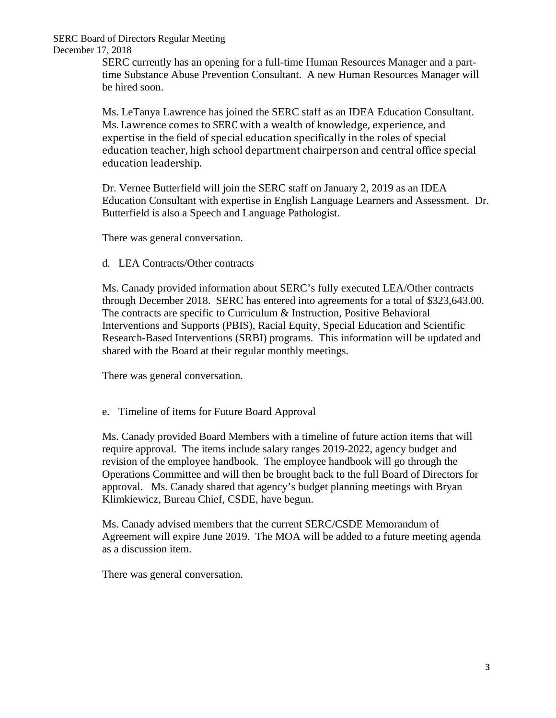SERC Board of Directors Regular Meeting December 17, 2018

> SERC currently has an opening for a full-time Human Resources Manager and a parttime Substance Abuse Prevention Consultant. A new Human Resources Manager will be hired soon.

> Ms. LeTanya Lawrence has joined the SERC staff as an IDEA Education Consultant. Ms. Lawrence comes to SERC with a wealth of knowledge, experience, and expertise in the field of special education specifically in the roles of special education teacher, high school department chairperson and central office special education leadership.

Dr. Vernee Butterfield will join the SERC staff on January 2, 2019 as an IDEA Education Consultant with expertise in English Language Learners and Assessment. Dr. Butterfield is also a Speech and Language Pathologist.

There was general conversation.

d. LEA Contracts/Other contracts

Ms. Canady provided information about SERC's fully executed LEA/Other contracts through December 2018. SERC has entered into agreements for a total of \$323,643.00. The contracts are specific to Curriculum & Instruction, Positive Behavioral Interventions and Supports (PBIS), Racial Equity, Special Education and Scientific Research-Based Interventions (SRBI) programs. This information will be updated and shared with the Board at their regular monthly meetings.

There was general conversation.

### e. Timeline of items for Future Board Approval

Ms. Canady provided Board Members with a timeline of future action items that will require approval. The items include salary ranges 2019-2022, agency budget and revision of the employee handbook. The employee handbook will go through the Operations Committee and will then be brought back to the full Board of Directors for approval. Ms. Canady shared that agency's budget planning meetings with Bryan Klimkiewicz, Bureau Chief, CSDE, have begun.

Ms. Canady advised members that the current SERC/CSDE Memorandum of Agreement will expire June 2019. The MOA will be added to a future meeting agenda as a discussion item.

There was general conversation.